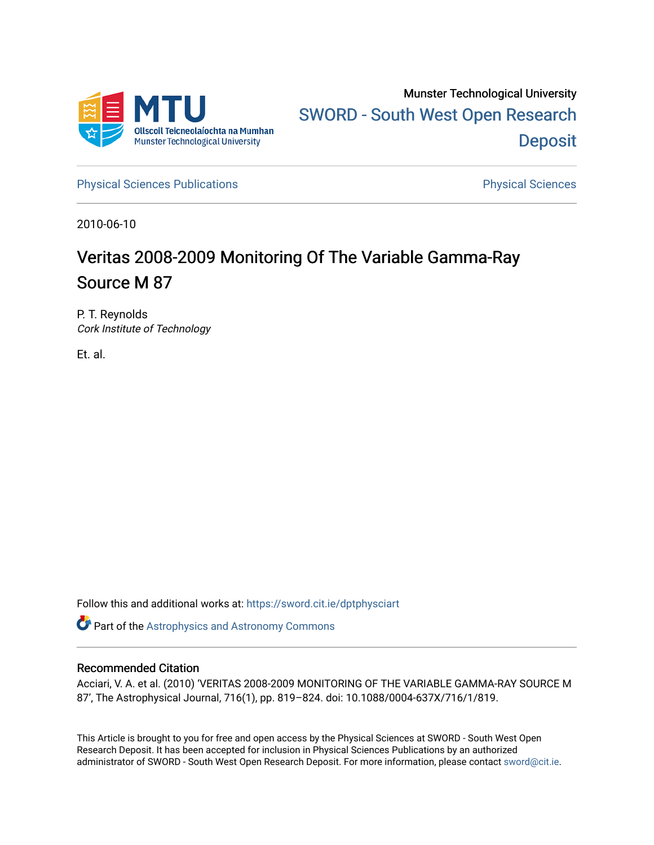

[Physical Sciences Publications](https://sword.cit.ie/dptphysciart) **Physical Sciences** Physical Sciences

2010-06-10

# Veritas 2008-2009 Monitoring Of The Variable Gamma-Ray Source M 87

P. T. Reynolds Cork Institute of Technology

Et. al.

Follow this and additional works at: [https://sword.cit.ie/dptphysciart](https://sword.cit.ie/dptphysciart?utm_source=sword.cit.ie%2Fdptphysciart%2F64&utm_medium=PDF&utm_campaign=PDFCoverPages)

Part of the [Astrophysics and Astronomy Commons](http://network.bepress.com/hgg/discipline/123?utm_source=sword.cit.ie%2Fdptphysciart%2F64&utm_medium=PDF&utm_campaign=PDFCoverPages) 

## Recommended Citation

Acciari, V. A. et al. (2010) 'VERITAS 2008-2009 MONITORING OF THE VARIABLE GAMMA-RAY SOURCE M 87', The Astrophysical Journal, 716(1), pp. 819–824. doi: 10.1088/0004-637X/716/1/819.

This Article is brought to you for free and open access by the Physical Sciences at SWORD - South West Open Research Deposit. It has been accepted for inclusion in Physical Sciences Publications by an authorized administrator of SWORD - South West Open Research Deposit. For more information, please contact [sword@cit.ie.](mailto:sword@cit.ie)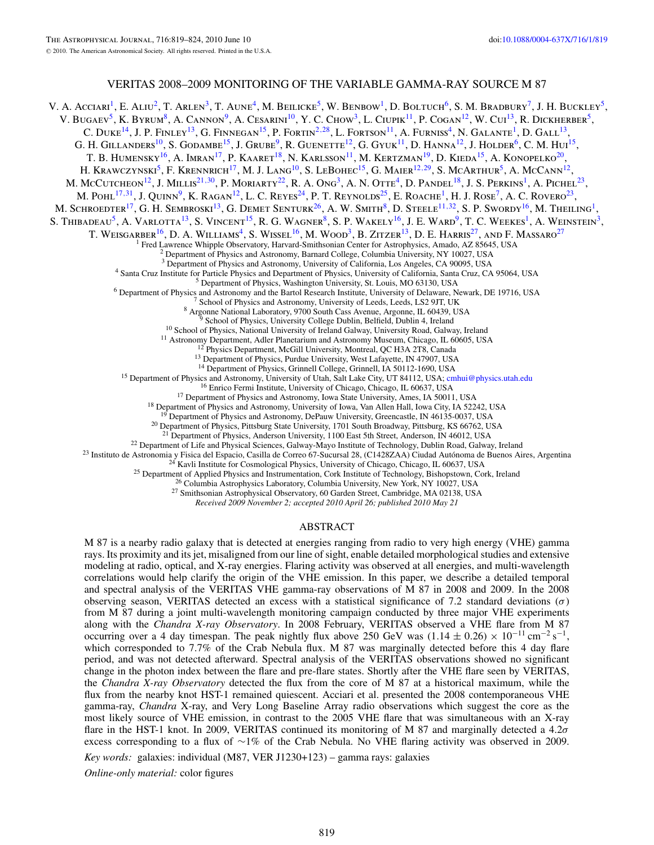## VERITAS 2008–2009 MONITORING OF THE VARIABLE GAMMA-RAY SOURCE M 87

V. A. Acciari<sup>1</sup>, E. Aliu<sup>2</sup>, T. Arlen<sup>3</sup>, T. Aune<sup>4</sup>, M. Beilicke<sup>5</sup>, W. Benbow<sup>1</sup>, D. Boltuch<sup>6</sup>, S. M. Bradbury<sup>7</sup>, J. H. Buckley<sup>5</sup>, V. BUGAEV<sup>5</sup>, K. BYRUM<sup>8</sup>, A. CANNON<sup>9</sup>, A. CESARINI<sup>10</sup>, Y. C. CHOW<sup>3</sup>, L. CIUPIK<sup>11</sup>, P. COGAN<sup>12</sup>, W. CUI<sup>13</sup>, R. DICKHERBER<sup>5</sup>, C. DUKE<sup>14</sup>, J. P. FINLEY<sup>13</sup>, G. FINNEGAN<sup>15</sup>, P. FORTIN<sup>2,[28](#page-2-0)</sup>, L. FORTSON<sup>11</sup>, A. FURNISS<sup>4</sup>, N. GALANTE<sup>1</sup>, D. GALL<sup>13</sup>, G. H. GILLANDERS<sup>10</sup>, S. GODAMBE<sup>15</sup>, J. GRUBE<sup>9</sup>, R. GUENETTE<sup>12</sup>, G. GYUK<sup>11</sup>, D. HANNA<sup>12</sup>, J. HOLDER<sup>6</sup>, C. M. HUI<sup>15</sup>, T. B. Humensky<sup>16</sup>, A. Imran<sup>17</sup>, P. Kaaret<sup>18</sup>, N. Karlsson<sup>11</sup>, M. Kertzman<sup>19</sup>, D. Kieda<sup>15</sup>, A. Konopelko<sup>20</sup>, H. KRAWCZYNSKI<sup>5</sup>, F. KRENNRICH<sup>17</sup>, M. J. LANG<sup>10</sup>, S. LEBOHEC<sup>15</sup>, G. MAIER<sup>12,[29](#page-2-0)</sup>, S. MCARTHUR<sup>5</sup>, A. McCann<sup>12</sup>, M. McCutcheon<sup>12</sup>, J. Millis<sup>21,[30](#page-2-0)</sup>, P. Moriarty<sup>22</sup>, R. A. Ong<sup>3</sup>, A. N. Otte<sup>4</sup>, D. Pandel<sup>18</sup>, J. S. Perkins<sup>1</sup>, A. Pichel<sup>23</sup>, M. Pohl<sup>17,[31](#page-2-0)</sup>, J. Quinn<sup>9</sup>, K. Ragan<sup>12</sup>, L. C. Reyes<sup>24</sup>, P. T. Reynolds<sup>25</sup>, E. Roache<sup>1</sup>, H. J. Rose<sup>7</sup>, A. C. Rovero<sup>23</sup>, M. SCHROEDTER<sup>17</sup>, G. H. SEMBROSKI<sup>13</sup>, G. DEMET SENTURK<sup>26</sup>, A. W. SMITH<sup>8</sup>, D. STEELE<sup>11,[32](#page-2-0)</sup>, S. P. SWORDY<sup>16</sup>, M. THEILING<sup>1</sup>, S. THIBADEAU<sup>5</sup>, A. VARLOTTA<sup>13</sup>, S. VINCENT<sup>15</sup>, R. G. WAGNER<sup>8</sup>, S. P. WAKELY<sup>16</sup>, J. E. WARD<sup>9</sup>, T. C. WEEKES<sup>1</sup>, A. WEINSTEIN<sup>3</sup>, T. WEISGARBER<sup>16</sup>, D. A. WILLIAMS<sup>4</sup>, S. WISSEL<sup>16</sup>, M. WOOD<sup>3</sup>, B. ZITZER<sup>13</sup>, D. E. HARRIS<sup>27</sup>, AND F. MASSARO<sup>27</sup> <sup>1</sup> Fred Lawrence Whipple Observatory, Harvard-Smithsonian Center for Astrophysics, Amado, AZ 85645, USA <sup>2</sup> Department of Physics and Astronomy, Barnard College, Columbia University, NY 10027, USA <sup>3</sup> Department of Physic <sup>3</sup> Department of Physics and Astronomy, University of California, Los Angeles, CA 90095, USA<br><sup>4</sup> Santa Cruz Institute for Particle Physics and Department of Physics, University of California, Santa Cruz, CA 95064, USA<br><sup>5</sup> <sup>13</sup> Department of Physics, Purdue University, West Lafayette, IN 47907, USA<br><sup>14</sup> Department of Physics, Grinnell College, Grinnell, IA 50112-1690, USA<br><sup>15</sup> Department of Physics and Astronomy, University of Utah, Salt La <sup>20</sup> Department of Physics, Pittsburg State University, 1701 South Broadway, Pittsburg, KS 66762, USA <sup>21</sup> Department of Physics, Anderson University, 1100 East 5th Street, Anderson, IN 46012, USA <sup>23</sup> Instituto de Astronomia y Fisica del Espacio, Casilla de Correo 67-Sucursal 28, (C1428ZAA) Ciudad Autónoma de Buenos Aires, Argentina<br><sup>23</sup> Instituto de Astronomia y Física del Espacio, Casilla de Correo 67-Sucursal 2

*Received 2009 November 2; accepted 2010 April 26; published 2010 May 21*

## ABSTRACT

M 87 is a nearby radio galaxy that is detected at energies ranging from radio to very high energy (VHE) gamma rays. Its proximity and its jet, misaligned from our line of sight, enable detailed morphological studies and extensive modeling at radio, optical, and X-ray energies. Flaring activity was observed at all energies, and multi-wavelength correlations would help clarify the origin of the VHE emission. In this paper, we describe a detailed temporal and spectral analysis of the VERITAS VHE gamma-ray observations of M 87 in 2008 and 2009. In the 2008 observing season, VERITAS detected an excess with a statistical significance of 7.2 standard deviations (*σ*) from M 87 during a joint multi-wavelength monitoring campaign conducted by three major VHE experiments along with the *Chandra X-ray Observatory*. In 2008 February, VERITAS observed a VHE flare from M 87 occurring over a 4 day timespan. The peak nightly flux above 250 GeV was  $(1.14 \pm 0.26) \times 10^{-11}$  cm<sup>-2</sup> s<sup>-1</sup>, which corresponded to 7.7% of the Crab Nebula flux. M 87 was marginally detected before this 4 day flare period, and was not detected afterward. Spectral analysis of the VERITAS observations showed no significant change in the photon index between the flare and pre-flare states. Shortly after the VHE flare seen by VERITAS, the *Chandra X-ray Observatory* detected the flux from the core of M 87 at a historical maximum, while the flux from the nearby knot HST-1 remained quiescent. Acciari et al. presented the 2008 contemporaneous VHE gamma-ray, *Chandra* X-ray, and Very Long Baseline Array radio observations which suggest the core as the most likely source of VHE emission, in contrast to the 2005 VHE flare that was simultaneous with an X-ray flare in the HST-1 knot. In 2009, VERITAS continued its monitoring of M 87 and marginally detected a 4.2*σ* excess corresponding to a flux of ∼1% of the Crab Nebula. No VHE flaring activity was observed in 2009.

*Key words:* galaxies: individual (M87, VER J1230+123) – gamma rays: galaxies

*Online-only material:* color figures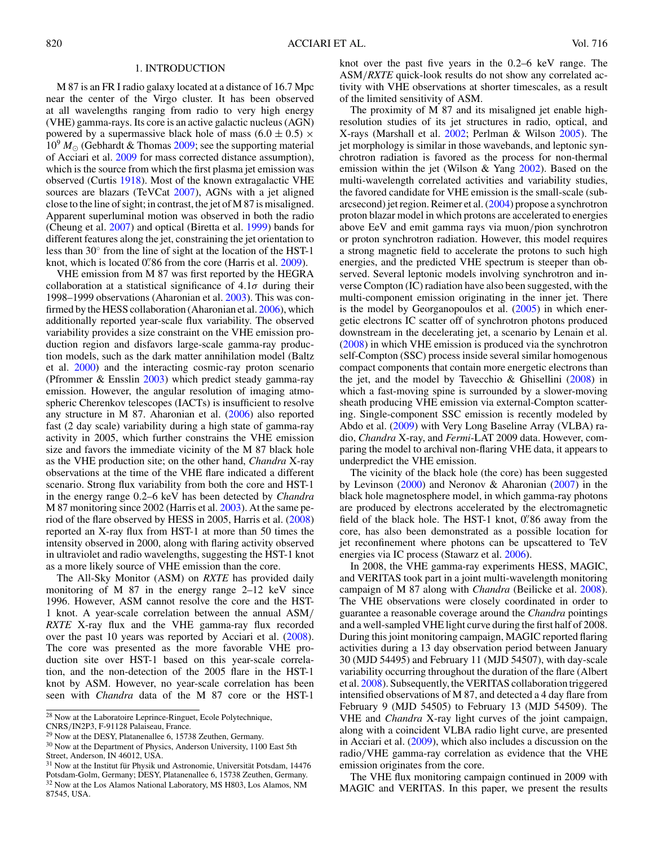## 1. INTRODUCTION

<span id="page-2-0"></span>M 87 is an FR I radio galaxy located at a distance of 16.7 Mpc near the center of the Virgo cluster. It has been observed at all wavelengths ranging from radio to very high energy (VHE) gamma-rays. Its core is an active galactic nucleus (AGN) powered by a supermassive black hole of mass  $(6.0 \pm 0.5) \times$  $10^9 M_{\odot}$  (Gebhardt & Thomas [2009;](#page-6-0) see the supporting material of Acciari et al. [2009](#page-6-0) for mass corrected distance assumption), which is the source from which the first plasma jet emission was observed (Curtis [1918\)](#page-6-0). Most of the known extragalactic VHE sources are blazars (TeVCat 2007), AGNs with a jet aligned close to the line of sight; in contrast, the jet of M 87 is misaligned. Apparent superluminal motion was observed in both the radio (Cheung et al. [2007\)](#page-6-0) and optical (Biretta et al. [1999\)](#page-6-0) bands for different features along the jet, constraining the jet orientation to less than 30◦ from the line of sight at the location of the HST-1 knot, which is located 0*.* 86 from the core (Harris et al. [2009\)](#page-6-0).

VHE emission from M 87 was first reported by the HEGRA collaboration at a statistical significance of 4*.*1*σ* during their 1998–1999 observations (Aharonian et al. [2003\)](#page-6-0). This was confirmed by the HESS collaboration (Aharonian et al. [2006\)](#page-6-0), which additionally reported year-scale flux variability. The observed variability provides a size constraint on the VHE emission production region and disfavors large-scale gamma-ray production models, such as the dark matter annihilation model (Baltz et al. [2000\)](#page-6-0) and the interacting cosmic-ray proton scenario (Pfrommer & Ensslin [2003\)](#page-6-0) which predict steady gamma-ray emission. However, the angular resolution of imaging atmospheric Cherenkov telescopes (IACTs) is insufficient to resolve any structure in M 87. Aharonian et al. [\(2006\)](#page-6-0) also reported fast (2 day scale) variability during a high state of gamma-ray activity in 2005, which further constrains the VHE emission size and favors the immediate vicinity of the M 87 black hole as the VHE production site; on the other hand, *Chandra* X-ray observations at the time of the VHE flare indicated a different scenario. Strong flux variability from both the core and HST-1 in the energy range 0*.*2–6 keV has been detected by *Chandra* M 87 monitoring since 2002 (Harris et al. [2003\)](#page-6-0). At the same period of the flare observed by HESS in 2005, Harris et al. [\(2008\)](#page-6-0) reported an X-ray flux from HST-1 at more than 50 times the intensity observed in 2000, along with flaring activity observed in ultraviolet and radio wavelengths, suggesting the HST-1 knot as a more likely source of VHE emission than the core.

The All-Sky Monitor (ASM) on *RXTE* has provided daily monitoring of M 87 in the energy range 2–12 keV since 1996. However, ASM cannot resolve the core and the HST-1 knot. A year-scale correlation between the annual ASM*/ RXTE* X-ray flux and the VHE gamma-ray flux recorded over the past 10 years was reported by Acciari et al. [\(2008\)](#page-6-0). The core was presented as the more favorable VHE production site over HST-1 based on this year-scale correlation, and the non-detection of the 2005 flare in the HST-1 knot by ASM. However, no year-scale correlation has been seen with *Chandra* data of the M 87 core or the HST-1

<sup>28</sup> Now at the Laboratoire Leprince-Ringuet, Ecole Polytechnique, CNRS*/*IN2P3, F-91128 Palaiseau, France.

knot over the past five years in the 0*.*2–6 keV range. The ASM*/RXTE* quick-look results do not show any correlated activity with VHE observations at shorter timescales, as a result of the limited sensitivity of ASM.

The proximity of M 87 and its misaligned jet enable highresolution studies of its jet structures in radio, optical, and X-rays (Marshall et al. [2002;](#page-6-0) Perlman & Wilson [2005\)](#page-6-0). The jet morphology is similar in those wavebands, and leptonic synchrotron radiation is favored as the process for non-thermal emission within the jet (Wilson & Yang [2002\)](#page-6-0). Based on the multi-wavelength correlated activities and variability studies, the favored candidate for VHE emission is the small-scale (subarcsecond) jet region. Reimer et al. [\(2004\)](#page-6-0) propose a synchrotron proton blazar model in which protons are accelerated to energies above EeV and emit gamma rays via muon*/*pion synchrotron or proton synchrotron radiation. However, this model requires a strong magnetic field to accelerate the protons to such high energies, and the predicted VHE spectrum is steeper than observed. Several leptonic models involving synchrotron and inverse Compton (IC) radiation have also been suggested, with the multi-component emission originating in the inner jet. There is the model by Georganopoulos et al. [\(2005\)](#page-6-0) in which energetic electrons IC scatter off of synchrotron photons produced downstream in the decelerating jet, a scenario by Lenain et al. [\(2008\)](#page-6-0) in which VHE emission is produced via the synchrotron self-Compton (SSC) process inside several similar homogenous compact components that contain more energetic electrons than the jet, and the model by Tavecchio & Ghisellini  $(2008)$  in which a fast-moving spine is surrounded by a slower-moving sheath producing VHE emission via external-Compton scattering. Single-component SSC emission is recently modeled by Abdo et al. [\(2009\)](#page-6-0) with Very Long Baseline Array (VLBA) radio, *Chandra* X-ray, and *Fermi*-LAT 2009 data. However, comparing the model to archival non-flaring VHE data, it appears to underpredict the VHE emission.

The vicinity of the black hole (the core) has been suggested by Levinson [\(2000\)](#page-6-0) and Neronov & Aharonian [\(2007\)](#page-6-0) in the black hole magnetosphere model, in which gamma-ray photons are produced by electrons accelerated by the electromagnetic field of the black hole. The HST-1 knot, 0*.* 86 away from the core, has also been demonstrated as a possible location for jet reconfinement where photons can be upscattered to TeV energies via IC process (Stawarz et al. [2006\)](#page-6-0).

In 2008, the VHE gamma-ray experiments HESS, MAGIC, and VERITAS took part in a joint multi-wavelength monitoring campaign of M 87 along with *Chandra* (Beilicke et al. [2008\)](#page-6-0). The VHE observations were closely coordinated in order to guarantee a reasonable coverage around the *Chandra* pointings and a well-sampled VHE light curve during the first half of 2008. During this joint monitoring campaign, MAGIC reported flaring activities during a 13 day observation period between January 30 (MJD 54495) and February 11 (MJD 54507), with day-scale variability occurring throughout the duration of the flare (Albert et al. [2008\)](#page-6-0). Subsequently, the VERITAS collaboration triggered intensified observations of M 87, and detected a 4 day flare from February 9 (MJD 54505) to February 13 (MJD 54509). The VHE and *Chandra* X-ray light curves of the joint campaign, along with a coincident VLBA radio light curve, are presented in Acciari et al. [\(2009\)](#page-6-0), which also includes a discussion on the radio*/*VHE gamma-ray correlation as evidence that the VHE emission originates from the core.

The VHE flux monitoring campaign continued in 2009 with MAGIC and VERITAS. In this paper, we present the results

<sup>29</sup> Now at the DESY, Platanenallee 6, 15738 Zeuthen, Germany.

<sup>&</sup>lt;sup>30</sup> Now at the Department of Physics, Anderson University, 1100 East 5th Street, Anderson, IN 46012, USA.

 $31$  Now at the Institut für Physik und Astronomie, Universität Potsdam, 14476 Potsdam-Golm, Germany; DESY, Platanenallee 6, 15738 Zeuthen, Germany. <sup>32</sup> Now at the Los Alamos National Laboratory, MS H803, Los Alamos, NM 87545, USA.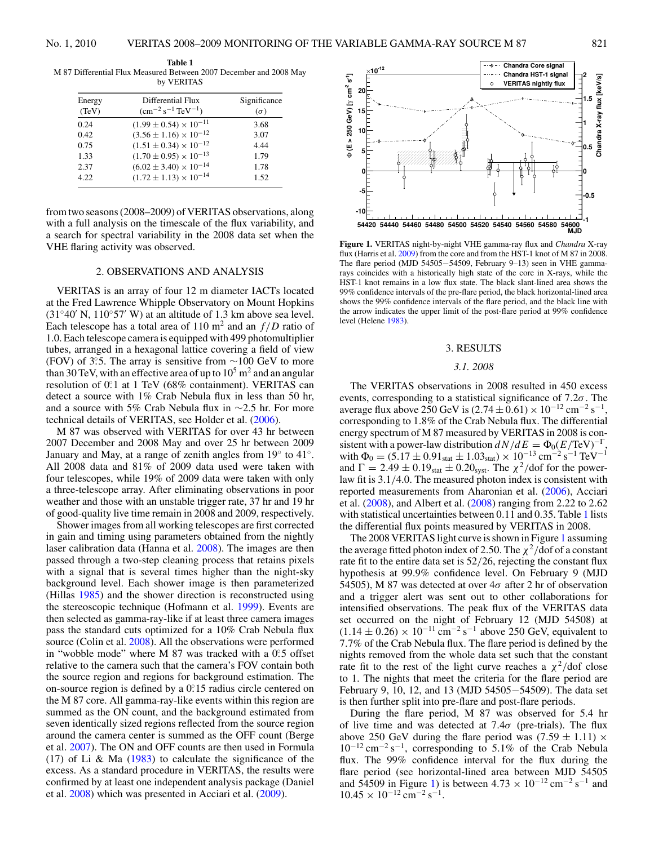<span id="page-3-0"></span>

| Energy<br>(TeV) | Differential Flux<br>$\rm (cm^{-2} \, s^{-1} \, TeV^{-1})$ | Significance<br>$(\sigma)$ |
|-----------------|------------------------------------------------------------|----------------------------|
| 0.24            | $(1.99 \pm 0.54) \times 10^{-11}$                          | 3.68                       |
| 0.42            | $(3.56 \pm 1.16) \times 10^{-12}$                          | 3.07                       |
| 0.75            | $(1.51 \pm 0.34) \times 10^{-12}$                          | 4.44                       |
| 1.33            | $(1.70 \pm 0.95) \times 10^{-13}$                          | 1.79                       |
| 2.37            | $(6.02 \pm 3.40) \times 10^{-14}$                          | 1.78                       |
| 4.22            | $(1.72 \pm 1.13) \times 10^{-14}$                          | 1.52                       |

from two seasons (2008–2009) of VERITAS observations, along with a full analysis on the timescale of the flux variability, and a search for spectral variability in the 2008 data set when the VHE flaring activity was observed.

## 2. OBSERVATIONS AND ANALYSIS

VERITAS is an array of four 12 m diameter IACTs located at the Fred Lawrence Whipple Observatory on Mount Hopkins  $(31°40' \text{ N}, 110°57' \text{ W})$  at an altitude of 1.3 km above sea level. Each telescope has a total area of 110  $m^2$  and an  $f/D$  ratio of 1.0. Each telescope camera is equipped with 499 photomultiplier tubes, arranged in a hexagonal lattice covering a field of view (FOV) of 3°5. The array is sensitive from ∼100 GeV to more than 30 TeV, with an effective area of up to  $10<sup>5</sup>$  m<sup>2</sup> and an angular resolution of 0°.1 at 1 TeV (68% containment). VERITAS can detect a source with 1% Crab Nebula flux in less than 50 hr, and a source with 5% Crab Nebula flux in ∼2.5 hr. For more technical details of VERITAS, see Holder et al. [\(2006\)](#page-6-0).

M 87 was observed with VERITAS for over 43 hr between 2007 December and 2008 May and over 25 hr between 2009 January and May, at a range of zenith angles from 19◦ to 41◦. All 2008 data and 81% of 2009 data used were taken with four telescopes, while 19% of 2009 data were taken with only a three-telescope array. After eliminating observations in poor weather and those with an unstable trigger rate, 37 hr and 19 hr of good-quality live time remain in 2008 and 2009, respectively.

Shower images from all working telescopes are first corrected in gain and timing using parameters obtained from the nightly laser calibration data (Hanna et al. [2008\)](#page-6-0). The images are then passed through a two-step cleaning process that retains pixels with a signal that is several times higher than the night-sky background level. Each shower image is then parameterized (Hillas [1985\)](#page-6-0) and the shower direction is reconstructed using the stereoscopic technique (Hofmann et al. [1999\)](#page-6-0). Events are then selected as gamma-ray-like if at least three camera images pass the standard cuts optimized for a 10% Crab Nebula flux source (Colin et al. [2008\)](#page-6-0). All the observations were performed in "wobble mode" where M 87 was tracked with a 0.5 offset relative to the camera such that the camera's FOV contain both the source region and regions for background estimation. The on-source region is defined by a 0.<sup>2</sup>15 radius circle centered on the M 87 core. All gamma-ray-like events within this region are summed as the ON count, and the background estimated from seven identically sized regions reflected from the source region around the camera center is summed as the OFF count (Berge et al. [2007\)](#page-6-0). The ON and OFF counts are then used in Formula (17) of Li & Ma  $(1983)$  to calculate the significance of the excess. As a standard procedure in VERITAS, the results were confirmed by at least one independent analysis package (Daniel et al. [2008\)](#page-6-0) which was presented in Acciari et al. [\(2009\)](#page-6-0).



**Figure 1.** VERITAS night-by-night VHE gamma-ray flux and *Chandra* X-ray flux (Harris et al. [2009\)](#page-6-0) from the core and from the HST-1 knot of M 87 in 2008. The flare period (MJD 54505−54509, February 9–13) seen in VHE gammarays coincides with a historically high state of the core in X-rays, while the HST-1 knot remains in a low flux state. The black slant-lined area shows the 99% confidence intervals of the pre-flare period, the black horizontal-lined area shows the 99% confidence intervals of the flare period, and the black line with the arrow indicates the upper limit of the post-flare period at 99% confidence level (Helene [1983\)](#page-6-0).

#### 3. RESULTS

## *3.1. 2008*

The VERITAS observations in 2008 resulted in 450 excess events, corresponding to a statistical significance of 7*.*2*σ*. The average flux above 250 GeV is  $(2.74 \pm 0.61) \times 10^{-12}$  cm<sup>-2</sup> s<sup>-1</sup>, corresponding to 1*.*8% of the Crab Nebula flux. The differential energy spectrum of M 87 measured by VERITAS in 2008 is consistent with a power-law distribution  $dN/dE = \Phi_0(E/\text{TeV})^{-\Gamma}$ with  $\Phi_0 = (5.17 \pm 0.91_{stat} \pm 1.03_{stat}) \times 10^{-13} \text{ cm}^{-2} \text{s}^{-1} \text{ TeV}^{-1}$ and  $\Gamma = 2.49 \pm 0.19_{\text{stat}} \pm 0.20_{\text{syst}}$ . The  $\chi^2/\text{dof}$  for the powerlaw fit is 3.1*/*4.0. The measured photon index is consistent with reported measurements from Aharonian et al. [\(2006\)](#page-6-0), Acciari et al. [\(2008\)](#page-6-0), and Albert et al. [\(2008\)](#page-6-0) ranging from 2*.*22 to 2*.*62 with statistical uncertainties between 0*.*11 and 0*.*35. Table 1 lists the differential flux points measured by VERITAS in 2008.

The 2008 VERITAS light curve is shown in Figure 1 assuming the average fitted photon index of 2.50. The  $\chi^2$ /dof of a constant rate fit to the entire data set is 52*/*26, rejecting the constant flux hypothesis at 99.9% confidence level. On February 9 (MJD 54505), M 87 was detected at over 4*σ* after 2 hr of observation and a trigger alert was sent out to other collaborations for intensified observations. The peak flux of the VERITAS data set occurred on the night of February 12 (MJD 54508) at  $(1.14 \pm 0.26) \times 10^{-11}$  cm<sup>-2</sup> s<sup>-1</sup> above 250 GeV, equivalent to 7*.*7% of the Crab Nebula flux. The flare period is defined by the nights removed from the whole data set such that the constant rate fit to the rest of the light curve reaches a  $\chi^2$ /dof close to 1. The nights that meet the criteria for the flare period are February 9, 10, 12, and 13 (MJD 54505−54509). The data set is then further split into pre-flare and post-flare periods.

During the flare period, M 87 was observed for 5.4 hr of live time and was detected at 7*.*4*σ* (pre-trials). The flux above 250 GeV during the flare period was  $(7.59 \pm 1.11) \times$ 10−<sup>12</sup> cm−<sup>2</sup> s−1, corresponding to 5*.*1% of the Crab Nebula flux. The 99% confidence interval for the flux during the flare period (see horizontal-lined area between MJD 54505 and 54509 in Figure 1) is between  $4.73 \times 10^{-12}$  cm<sup>-2</sup> s<sup>-1</sup> and  $10.45 \times 10^{-12}$  cm<sup>-2</sup> s<sup>-1</sup>.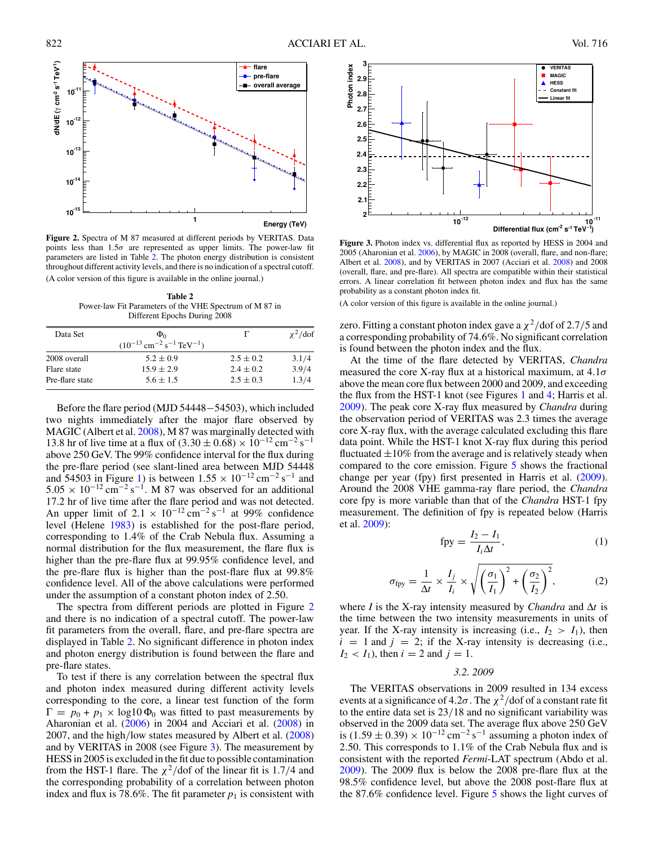

**Figure 2.** Spectra of M 87 measured at different periods by VERITAS. Data points less than 1*.*5*σ* are represented as upper limits. The power-law fit parameters are listed in Table 2. The photon energy distribution is consistent throughout different activity levels, and there is no indication of a spectral cutoff. (A color version of this figure is available in the online journal.)

**Table 2** Power-law Fit Parameters of the VHE Spectrum of M 87 in Different Epochs During 2008

| Data Set        | $\Phi_0$                                                     |               | $\chi^2$ /dof |
|-----------------|--------------------------------------------------------------|---------------|---------------|
|                 | $(10^{-13} \text{ cm}^{-2} \text{ s}^{-1} \text{ TeV}^{-1})$ |               |               |
| 2008 overall    | $5.2 \pm 0.9$                                                | $2.5 \pm 0.2$ | 3.1/4         |
| Flare state     | $15.9 \pm 2.9$                                               | $2.4 \pm 0.2$ | 3.9/4         |
| Pre-flare state | $5.6 \pm 1.5$                                                | $2.5 \pm 0.3$ | 1.3/4         |

Before the flare period (MJD 54448−54503), which included two nights immediately after the major flare observed by MAGIC (Albert et al. [2008\)](#page-6-0), M 87 was marginally detected with 13.8 hr of live time at a flux of  $(3.30 \pm 0.68) \times 10^{-12}$  cm<sup>-2</sup> s<sup>-1</sup> above 250 GeV. The 99% confidence interval for the flux during the pre-flare period (see slant-lined area between MJD 54448 and 54503 in Figure [1\)](#page-3-0) is between  $1.55 \times 10^{-12}$  cm<sup>-2</sup> s<sup>-1</sup> and  $5.05 \times 10^{-12}$  cm<sup>-2</sup> s<sup>-1</sup>. M 87 was observed for an additional 17.2 hr of live time after the flare period and was not detected. An upper limit of  $2.1 \times 10^{-12}$  cm<sup>-2</sup> s<sup>-1</sup> at 99% confidence level (Helene [1983\)](#page-6-0) is established for the post-flare period, corresponding to 1*.*4% of the Crab Nebula flux. Assuming a normal distribution for the flux measurement, the flare flux is higher than the pre-flare flux at 99.95% confidence level, and the pre-flare flux is higher than the post-flare flux at 99.8% confidence level. All of the above calculations were performed under the assumption of a constant photon index of 2*.*50.

The spectra from different periods are plotted in Figure 2 and there is no indication of a spectral cutoff. The power-law fit parameters from the overall, flare, and pre-flare spectra are displayed in Table 2. No significant difference in photon index and photon energy distribution is found between the flare and pre-flare states.

To test if there is any correlation between the spectral flux and photon index measured during different activity levels corresponding to the core, a linear test function of the form  $\Gamma = p_0 + p_1 \times \log 10 \Phi_0$  was fitted to past measurements by Aharonian et al. [\(2006\)](#page-6-0) in 2004 and Acciari et al. [\(2008\)](#page-6-0) in 2007, and the high*/*low states measured by Albert et al. [\(2008\)](#page-6-0) and by VERITAS in 2008 (see Figure 3). The measurement by HESS in 2005 is excluded in the fit due to possible contamination from the HST-1 flare. The  $\chi^2$ /dof of the linear fit is 1.7/4 and the corresponding probability of a correlation between photon index and flux is 78.6%. The fit parameter  $p_1$  is consistent with



**Figure 3.** Photon index vs. differential flux as reported by HESS in 2004 and 2005 (Aharonian et al. [2006\)](#page-6-0), by MAGIC in 2008 (overall, flare, and non-flare; Albert et al. [2008\)](#page-6-0), and by VERITAS in 2007 (Acciari et al. [2008\)](#page-6-0) and 2008 (overall, flare, and pre-flare). All spectra are compatible within their statistical errors. A linear correlation fit between photon index and flux has the same probability as a constant photon index fit.

(A color version of this figure is available in the online journal.)

zero. Fitting a constant photon index gave a  $\chi^2$ /dof of 2.7/5 and a corresponding probability of 74*.*6%. No significant correlation is found between the photon index and the flux.

At the time of the flare detected by VERITAS, *Chandra* measured the core X-ray flux at a historical maximum, at 4*.*1*σ* above the mean core flux between 2000 and 2009, and exceeding the flux from the HST-1 knot (see Figures [1](#page-3-0) and [4;](#page-5-0) Harris et al. [2009\)](#page-6-0). The peak core X-ray flux measured by *Chandra* during the observation period of VERITAS was 2.3 times the average core X-ray flux, with the average calculated excluding this flare data point. While the HST-1 knot X-ray flux during this period fluctuated  $\pm 10\%$  from the average and is relatively steady when compared to the core emission. Figure [5](#page-5-0) shows the fractional change per year (fpy) first presented in Harris et al. [\(2009\)](#page-6-0). Around the 2008 VHE gamma-ray flare period, the *Chandra* core fpy is more variable than that of the *Chandra* HST-1 fpy measurement. The definition of fpy is repeated below (Harris et al. [2009\)](#page-6-0):

$$
fpy = \frac{I_2 - I_1}{I_i \Delta t},\tag{1}
$$

$$
\sigma_{\text{fpy}} = \frac{1}{\Delta t} \times \frac{I_j}{I_i} \times \sqrt{\left(\frac{\sigma_1}{I_1}\right)^2 + \left(\frac{\sigma_2}{I_2}\right)^2},\tag{2}
$$

where *I* is the X-ray intensity measured by *Chandra* and  $\Delta t$  is the time between the two intensity measurements in units of year. If the X-ray intensity is increasing (i.e.,  $I_2 > I_1$ ), then  $i = 1$  and  $j = 2$ ; if the X-ray intensity is decreasing (i.e.,  $I_2 < I_1$ ), then  $i = 2$  and  $j = 1$ .

## *3.2. 2009*

The VERITAS observations in 2009 resulted in 134 excess events at a significance of  $4.2\sigma$ . The  $\chi^2$ /dof of a constant rate fit to the entire data set is 23*/*18 and no significant variability was observed in the 2009 data set. The average flux above 250 GeV is (1.59 ± 0.39) ×  $10^{-12}$  cm<sup>-2</sup> s<sup>-1</sup> assuming a photon index of 2*.*50. This corresponds to 1*.*1% of the Crab Nebula flux and is consistent with the reported *Fermi*-LAT spectrum (Abdo et al. [2009\)](#page-6-0). The 2009 flux is below the 2008 pre-flare flux at the 98.5% confidence level, but above the 2008 post-flare flux at the 87.6% confidence level. Figure [5](#page-5-0) shows the light curves of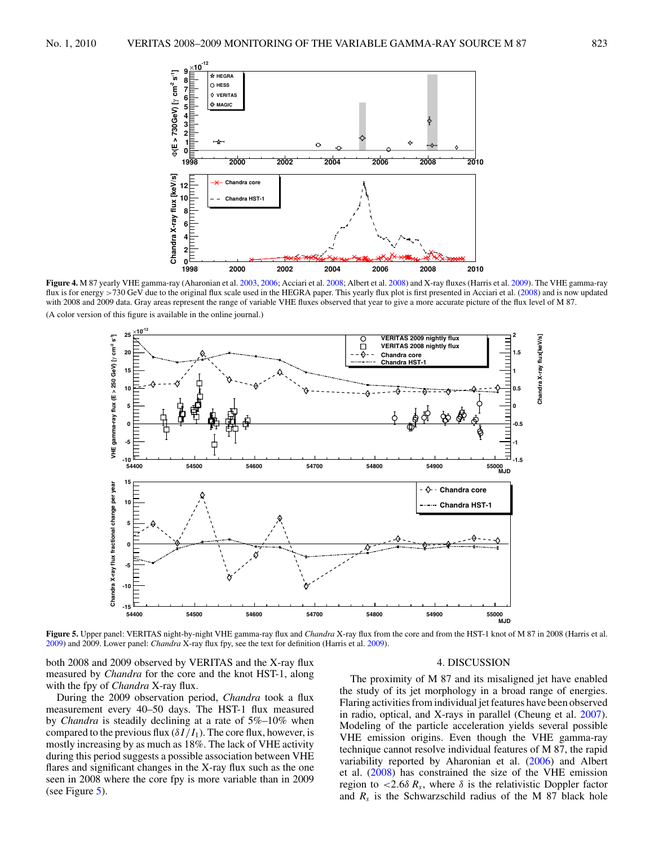<span id="page-5-0"></span>

**Figure 4.** M 87 yearly VHE gamma-ray (Aharonian et al. [2003,](#page-6-0) [2006;](#page-6-0) Acciari et al. [2008;](#page-6-0) Albert et al. [2008\)](#page-6-0) and X-ray fluxes (Harris et al. [2009\)](#page-6-0). The VHE gamma-ray flux is for energy >730 GeV due to the original flux scale used in the HEGRA paper. This yearly flux plot is first presented in Acciari et al. [\(2008\)](#page-6-0) and is now updated with 2008 and 2009 data. Gray areas represent the range of variable VHE fluxes observed that year to give a more accurate picture of the flux level of M 87. (A color version of this figure is available in the online journal.)



**Figure 5.** Upper panel: VERITAS night-by-night VHE gamma-ray flux and *Chandra* X-ray flux from the core and from the HST-1 knot of M 87 in 2008 (Harris et al. [2009\)](#page-6-0) and 2009. Lower panel: *Chandra* X-ray flux fpy, see the text for definition (Harris et al. [2009\)](#page-6-0).

both 2008 and 2009 observed by VERITAS and the X-ray flux measured by *Chandra* for the core and the knot HST-1, along with the fpy of *Chandra* X-ray flux.

During the 2009 observation period, *Chandra* took a flux measurement every 40–50 days. The HST-1 flux measured by *Chandra* is steadily declining at a rate of 5%–10% when compared to the previous flux  $(\delta I/I_1)$ . The core flux, however, is mostly increasing by as much as 18%. The lack of VHE activity during this period suggests a possible association between VHE flares and significant changes in the X-ray flux such as the one seen in 2008 where the core fpy is more variable than in 2009 (see Figure  $5$ ).

## 4. DISCUSSION

The proximity of M 87 and its misaligned jet have enabled the study of its jet morphology in a broad range of energies. Flaring activities from individual jet features have been observed in radio, optical, and X-rays in parallel (Cheung et al. [2007\)](#page-6-0). Modeling of the particle acceleration yields several possible VHE emission origins. Even though the VHE gamma-ray technique cannot resolve individual features of M 87, the rapid variability reported by Aharonian et al. [\(2006\)](#page-6-0) and Albert et al. [\(2008\)](#page-6-0) has constrained the size of the VHE emission region to  $\langle 2.6\delta R_s,$  where  $\delta$  is the relativistic Doppler factor and  $R_s$  is the Schwarzschild radius of the M 87 black hole